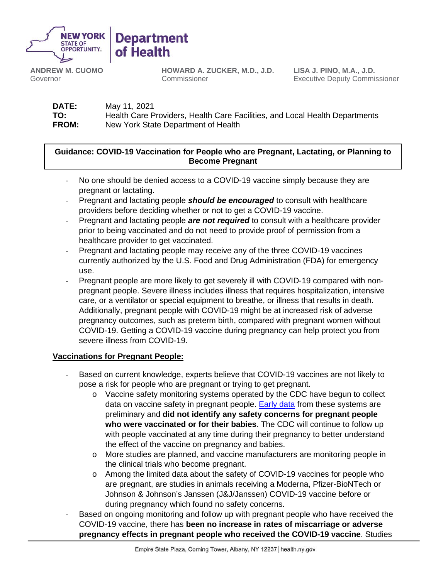

**Department** of Health

**ANDREW M. CUOMO** Governor

**HOWARD A. ZUCKER, M.D., J.D.** Commissioner

**LISA J. PINO, M.A., J.D.** Executive Deputy Commissioner

**DATE:** May 11, 2021 **TO:** Health Care Providers, Health Care Facilities, and Local Health Departments<br> **FROM:** New York State Department of Health New York State Department of Health

## **Guidance: COVID-19 Vaccination for People who are Pregnant, Lactating, or Planning to Become Pregnant**

- No one should be denied access to a COVID-19 vaccine simply because they are pregnant or lactating.
- Pregnant and lactating people *should be encouraged* to consult with healthcare providers before deciding whether or not to get a COVID-19 vaccine.
- Pregnant and lactating people *are not required* to consult with a healthcare provider prior to being vaccinated and do not need to provide proof of permission from a healthcare provider to get vaccinated.
- Pregnant and lactating people may receive any of the three COVID-19 vaccines currently authorized by the U.S. Food and Drug Administration (FDA) for emergency use.
- Pregnant people are more likely to get severely ill with COVID-19 compared with nonpregnant people. Severe illness includes illness that requires hospitalization, intensive care, or a ventilator or special equipment to breathe, or illness that results in death. Additionally, pregnant people with COVID-19 might be at increased risk of adverse pregnancy outcomes, such as preterm birth, compared with pregnant women without COVID-19. Getting a COVID-19 vaccine during pregnancy can help protect you from severe illness from COVID-19.

# **Vaccinations for Pregnant People:**

- Based on current knowledge, experts believe that COVID-19 vaccines are not likely to pose a risk for people who are pregnant or trying to get pregnant.
	- o Vaccine safety monitoring systems operated by the CDC have begun to collect data on vaccine safety in pregnant people. [Early data](https://www.nejm.org/doi/full/10.1056/NEJMoa2104983) from these systems are preliminary and **did not identify any safety concerns for pregnant people who were vaccinated or for their babies**. The CDC will continue to follow up with people vaccinated at any time during their pregnancy to better understand the effect of the vaccine on pregnancy and babies.
	- o More studies are planned, and vaccine manufacturers are monitoring people in the clinical trials who become pregnant.
	- o Among the limited data about the safety of COVID-19 vaccines for people who are pregnant, are studies in animals receiving a Moderna, Pfizer-BioNTech or Johnson & Johnson's Janssen (J&J/Janssen) COVID-19 vaccine before or during pregnancy which found no safety concerns.
- Based on ongoing monitoring and follow up with pregnant people who have received the COVID-19 vaccine, there has **been no increase in rates of miscarriage or adverse pregnancy effects in pregnant people who received the COVID-19 vaccine**. Studies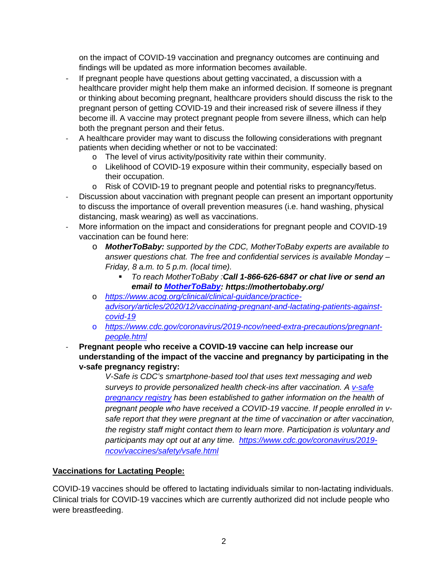on the impact of COVID-19 vaccination and pregnancy outcomes are continuing and findings will be updated as more information becomes available.

- If pregnant people have questions about getting vaccinated, a discussion with a healthcare provider might help them make an informed decision. If someone is pregnant or thinking about becoming pregnant, healthcare providers should discuss the risk to the pregnant person of getting COVID-19 and their increased risk of severe illness if they become ill. A vaccine may protect pregnant people from severe illness, which can help both the pregnant person and their fetus.
- A healthcare provider may want to discuss the following considerations with pregnant patients when deciding whether or not to be vaccinated:
	- o The level of virus activity/positivity rate within their community.
	- o Likelihood of COVID-19 exposure within their community, especially based on their occupation.
	- o Risk of COVID-19 to pregnant people and potential risks to pregnancy/fetus.
- Discussion about vaccination with pregnant people can present an important opportunity to discuss the importance of overall prevention measures (i.e. hand washing, physical distancing, mask wearing) as well as vaccinations.
- More information on the impact and considerations for pregnant people and COVID-19 vaccination can be found here:
	- o *MotherToBaby: supported by the CDC, MotherToBaby experts are available to answer questions chat. The free and confidential services is available Monday – Friday, 8 a.m. to 5 p.m. (local time).* 
		- *To reach MotherToBaby :Call 1-866-626-6847 or chat live or send an email to [MotherToBaby:](https://mothertobaby.org/) https://mothertobaby.org/*
	- o *[https://www.acog.org/clinical/clinical-guidance/practice](https://www.acog.org/clinical/clinical-guidance/practice-advisory/articles/2020/12/vaccinating-pregnant-and-lactating-patients-against-covid-19)[advisory/articles/2020/12/vaccinating-pregnant-and-lactating-patients-against](https://www.acog.org/clinical/clinical-guidance/practice-advisory/articles/2020/12/vaccinating-pregnant-and-lactating-patients-against-covid-19)[covid-19](https://www.acog.org/clinical/clinical-guidance/practice-advisory/articles/2020/12/vaccinating-pregnant-and-lactating-patients-against-covid-19)*
	- o *[https://www.cdc.gov/coronavirus/2019-ncov/need-extra-precautions/pregnant](https://www.cdc.gov/coronavirus/2019-ncov/need-extra-precautions/pregnant-people.html)[people.html](https://www.cdc.gov/coronavirus/2019-ncov/need-extra-precautions/pregnant-people.html)*
- **Pregnant people who receive a COVID-19 vaccine can help increase our understanding of the impact of the vaccine and pregnancy by participating in the v-safe pregnancy registry:**

*V-Safe is CDC's smartphone-based tool that uses text messaging and web surveys to provide personalized health check-ins after vaccination. A [v-safe](https://www.cdc.gov/coronavirus/2019-ncov/vaccines/safety/vsafepregnancyregistry.html)  [pregnancy registry](https://www.cdc.gov/coronavirus/2019-ncov/vaccines/safety/vsafepregnancyregistry.html) has been established to gather information on the health of pregnant people who have received a COVID-19 vaccine. If people enrolled in vsafe report that they were pregnant at the time of vaccination or after vaccination, the registry staff might contact them to learn more. Participation is voluntary and participants may opt out at any time. [https://www.cdc.gov/coronavirus/2019](https://www.cdc.gov/coronavirus/2019-ncov/vaccines/safety/vsafe.html) [ncov/vaccines/safety/vsafe.html](https://www.cdc.gov/coronavirus/2019-ncov/vaccines/safety/vsafe.html)* 

### **Vaccinations for Lactating People:**

COVID-19 vaccines should be offered to lactating individuals similar to non-lactating individuals. Clinical trials for COVID-19 vaccines which are currently authorized did not include people who were breastfeeding.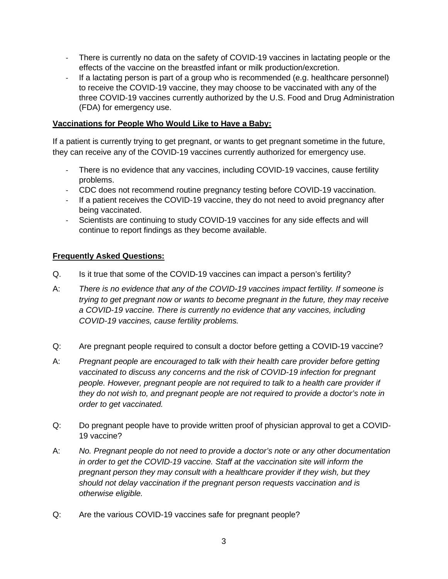- There is currently no data on the safety of COVID-19 vaccines in lactating people or the effects of the vaccine on the breastfed infant or milk production/excretion.
- If a lactating person is part of a group who is recommended (e.g. healthcare personnel) to receive the COVID-19 vaccine, they may choose to be vaccinated with any of the three COVID-19 vaccines currently authorized by the U.S. Food and Drug Administration (FDA) for emergency use.

## **Vaccinations for People Who Would Like to Have a Baby:**

If a patient is currently trying to get pregnant, or wants to get pregnant sometime in the future, they can receive any of the COVID-19 vaccines currently authorized for emergency use.

- There is no evidence that any vaccines, including COVID-19 vaccines, cause fertility problems.
- CDC does not recommend routine pregnancy testing before COVID-19 vaccination.
- If a patient receives the COVID-19 vaccine, they do not need to avoid pregnancy after being vaccinated.
- Scientists are continuing to study COVID-19 vaccines for any side effects and will continue to report findings as they become available.

# **Frequently Asked Questions:**

- Q. Is it true that some of the COVID-19 vaccines can impact a person's fertility?
- A: *There is no evidence that any of the COVID-19 vaccines impact fertility. If someone is trying to get pregnant now or wants to become pregnant in the future, they may receive a COVID-19 vaccine. There is currently no evidence that any vaccines, including COVID-19 vaccines, cause fertility problems.*
- Q: Are pregnant people required to consult a doctor before getting a COVID-19 vaccine?
- A: *Pregnant people are encouraged to talk with their health care provider before getting vaccinated to discuss any concerns and the risk of COVID-19 infection for pregnant people. However, pregnant people are not required to talk to a health care provider if they do not wish to, and pregnant people are not required to provide a doctor's note in order to get vaccinated.*
- Q: Do pregnant people have to provide written proof of physician approval to get a COVID-19 vaccine?
- A: *No. Pregnant people do not need to provide a doctor's note or any other documentation in order to get the COVID-19 vaccine. Staff at the vaccination site will inform the pregnant person they may consult with a healthcare provider if they wish, but they should not delay vaccination if the pregnant person requests vaccination and is otherwise eligible.*
- Q: Are the various COVID-19 vaccines safe for pregnant people?